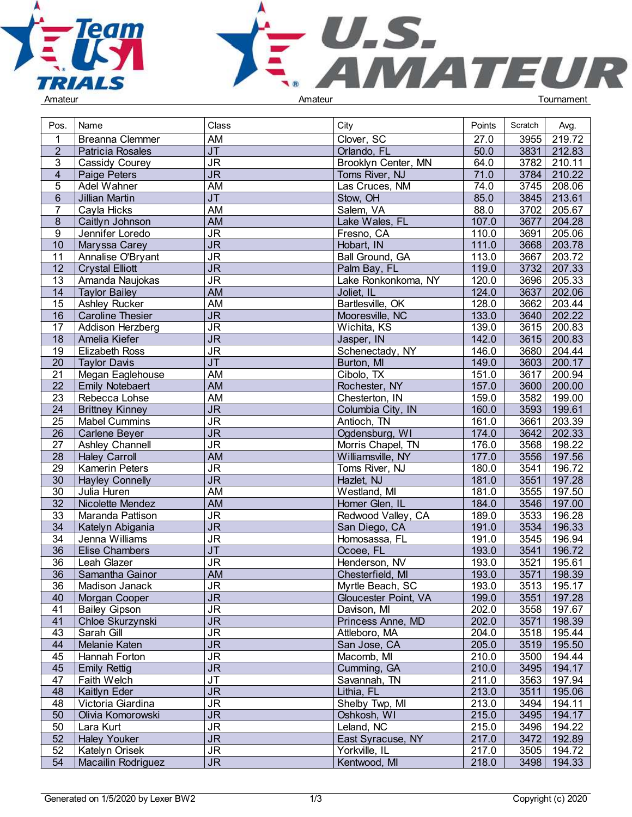



| Pos.            | Name                    | Class                             | City                 | Points | Scratch | Avg.        |  |
|-----------------|-------------------------|-----------------------------------|----------------------|--------|---------|-------------|--|
|                 | <b>Breanna Clemmer</b>  | AM                                | Clover, SC           | 27.0   | 3955    | 219.72      |  |
| $\overline{2}$  | Patricia Rosales        | $\overline{\mathsf{J}\mathsf{T}}$ | Orlando, FL          | 50.0   | 3831    | 212.83      |  |
| 3               | Cassidy Courey          | $\overline{\mathsf{J}\mathsf{R}}$ | Brooklyn Center, MN  | 64.0   | 3782    | 210.11      |  |
| $\overline{4}$  | Paige Peters            | $\overline{\mathsf{JR}}$          | Toms River, NJ       | 71.0   | 3784    | 210.22      |  |
| 5               | Adel Wahner             | AM                                | Las Cruces, NM       | 74.0   | 3745    | 208.06      |  |
| $6\phantom{.}$  | Jillian Martin          | JT                                | Stow, OH             | 85.0   | 3845    | 213.61      |  |
| 7               | Cayla Hicks             | <b>AM</b>                         | Salem, VA            | 88.0   | 3702    | 205.67      |  |
| 8               | Caitlyn Johnson         | <b>AM</b>                         | Lake Wales, FL       | 107.0  | 3677    | 204.28      |  |
| 9               | Jennifer Loredo         | <b>JR</b>                         | Fresno, CA           | 110.0  | 3691    | 205.06      |  |
| 10              | Maryssa Carey           | $\overline{\mathsf{J}\mathsf{R}}$ | Hobart, IN           | 111.0  | 3668    | 203.78      |  |
| 11              | Annalise O'Bryant       | <b>JR</b>                         | Ball Ground, GA      | 113.0  | 3667    | 203.72      |  |
| $\overline{12}$ | <b>Crystal Elliott</b>  | $\overline{\mathsf{J}\mathsf{R}}$ | Palm Bay, FL         | 119.0  | 3732    | 207.33      |  |
| 13              | Amanda Naujokas         | $\overline{\mathsf{J}\mathsf{R}}$ | Lake Ronkonkoma, NY  | 120.0  | 3696    | 205.33      |  |
| 14              | <b>Taylor Bailey</b>    | <b>AM</b>                         | Joliet, IL           | 124.0  | 3637    | 202.06      |  |
| 15              | Ashley Rucker           | <b>AM</b>                         | Bartlesville, OK     | 128.0  | 3662    | 203.44      |  |
| 16              | <b>Caroline Thesier</b> | <b>JR</b>                         | Mooresville, NC      | 133.0  | 3640    | 202.22      |  |
| 17              | Addison Herzberg        | $\overline{\mathsf{J}\mathsf{R}}$ | Wichita, KS          | 139.0  | 3615    | 200.83      |  |
| 18              | Amelia Kiefer           | $\overline{\mathsf{JR}}$          | Jasper, IN           | 142.0  | 3615    | 200.83      |  |
| 19              | <b>Elizabeth Ross</b>   | <b>JR</b>                         | Schenectady, NY      | 146.0  | 3680    | 204.44      |  |
| 20              | <b>Taylor Davis</b>     | $\overline{\mathsf{J}\mathsf{T}}$ | Burton, MI           | 149.0  | 3603    | 200.17      |  |
| 21              | Megan Eaglehouse        | <b>AM</b>                         | Cibolo, TX           | 151.0  | 3617    | 200.94      |  |
| $\overline{22}$ | <b>Emily Notebaert</b>  | <b>AM</b>                         | Rochester, NY        | 157.0  | 3600    | 200.00      |  |
| 23              | Rebecca Lohse           | AM                                | Chesterton, IN       | 159.0  | 3582    | 199.00      |  |
| 24              | <b>Brittney Kinney</b>  | <b>JR</b>                         | Columbia City, IN    | 160.0  | 3593    | 199.61      |  |
| $\overline{25}$ | Mabel Cummins           | $\overline{\mathsf{J}\mathsf{R}}$ | Antioch, TN          | 161.0  | 3661    | 203.39      |  |
| 26              | Carlene Beyer           | $\overline{\mathsf{J}\mathsf{R}}$ | Ogdensburg, WI       | 174.0  | 3642    | 202.33      |  |
| $\overline{27}$ | Ashley Channell         | $\overline{\mathsf{J}\mathsf{R}}$ | Morris Chapel, TN    | 176.0  | 3568    | 198.22      |  |
| $\overline{28}$ | <b>Haley Carroll</b>    | <b>AM</b>                         | Williamsville, NY    | 177.0  | 3556    | 197.56      |  |
| $\overline{29}$ | <b>Kamerin Peters</b>   | <b>JR</b>                         | Toms River, NJ       | 180.0  | 3541    | 196.72      |  |
| $\overline{30}$ | <b>Hayley Connelly</b>  | $\overline{\mathsf{J}\mathsf{R}}$ | Hazlet, NJ           | 181.0  | 3551    | 197.28      |  |
| 30              | Julia Huren             | <b>AM</b>                         | Westland, MI         | 181.0  | 3555    | 197.50      |  |
| $\overline{32}$ | Nicolette Mendez        | <b>AM</b>                         | Homer Glen, IL       | 184.0  | 3546    | 197.00      |  |
| 33              | Maranda Pattison        | <b>JR</b>                         | Redwood Valley, CA   | 189.0  | 3533    | 196.28      |  |
| 34              | Katelyn Abigania        | $\overline{\mathsf{J}\mathsf{R}}$ | San Diego, CA        | 191.0  | 3534    | 196.33      |  |
| $\overline{34}$ | Jenna Williams          | JR                                | Homosassa, FL        | 191.0  | 3545    | 196.94      |  |
| 36              | <b>Elise Chambers</b>   | $\overline{\mathsf{J}\mathsf{T}}$ | Ocoee, FL            | 193.0  | 3541    | 196.72      |  |
| 36              | Leah Glazer             | <b>JR</b>                         | Henderson, NV        | 193.0  | 3521    | 195.61      |  |
| 36              | Samantha Gainor         | AM                                | Chesterfield, MI     | 193.0  | 3571    | 198.39      |  |
| 36              | Madison Janack          | JR                                | Myrtle Beach, SC     | 193.0  |         | 3513 195.17 |  |
| 40              | Morgan Cooper           | <b>JR</b>                         | Gloucester Point, VA | 199.0  | 3551    | 197.28      |  |
| 41              | <b>Bailey Gipson</b>    | $\overline{\mathsf{J}\mathsf{R}}$ | Davison, MI          | 202.0  | 3558    | 197.67      |  |
| 41              | Chloe Skurzynski        | $\overline{\mathsf{J}\mathsf{R}}$ | Princess Anne, MD    | 202.0  | 3571    | 198.39      |  |
| 43              | Sarah Gill              | <b>JR</b>                         | Attleboro, MA        | 204.0  | 3518    | 195.44      |  |
| 44              | Melanie Katen           | $\overline{\mathsf{JR}}$          | San Jose, CA         | 205.0  |         | 3519 195.50 |  |
| 45              | Hannah Forton           | <b>JR</b>                         | Macomb, MI           | 210.0  | 3500    | 194.44      |  |
| 45              | <b>Emily Rettig</b>     | $\overline{\mathsf{JR}}$          | Cumming, GA          | 210.0  | 3495    | 194.17      |  |
| 47              | Faith Welch             | $\overline{\mathsf{J}\mathsf{T}}$ | Savannah, TN         | 211.0  | 3563    | 197.94      |  |
| 48              | Kaitlyn Eder            | J <sub>R</sub>                    | Lithia, FL           | 213.0  | 3511    | 195.06      |  |
| 48              | Victoria Giardina       | <b>JR</b>                         | Shelby Twp, MI       | 213.0  | 3494    | 194.11      |  |
| 50              | Olivia Komorowski       | $\overline{\mathsf{JR}}$          | Oshkosh, WI          | 215.0  | 3495    | 194.17      |  |
| 50              | Lara Kurt               | $\overline{\mathsf{JR}}$          | Leland, NC           | 215.0  | 3496    | 194.22      |  |
| 52              | <b>Haley Youker</b>     | $\overline{\mathsf{J}\mathsf{R}}$ | East Syracuse, NY    | 217.0  | 3472    | 192.89      |  |
| 52              | Katelyn Orisek          | <b>JR</b>                         | Yorkville, IL        | 217.0  | 3505    | 194.72      |  |
| 54              | Macailin Rodriguez      | $\overline{\mathsf{JR}}$          | Kentwood, MI         | 218.0  |         | 3498 194.33 |  |
|                 |                         |                                   |                      |        |         |             |  |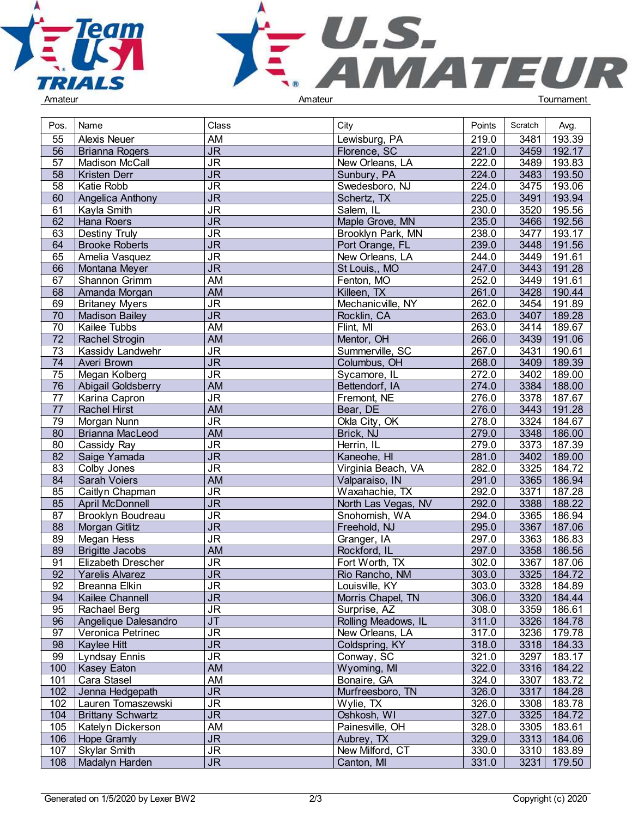



| Pos.            | Name                      | Class                             | City                | Points             | Scratch | Avg.        |  |
|-----------------|---------------------------|-----------------------------------|---------------------|--------------------|---------|-------------|--|
| 55              | <b>Alexis Neuer</b>       | AM                                | Lewisburg, PA       | 219.0              | 3481    | 193.39      |  |
| 56              | Brianna Rogers            | <b>JR</b>                         | Florence, SC        | 221.0              | 3459    | 192.17      |  |
| 57              | <b>Madison McCall</b>     | $\overline{\mathsf{J}\mathsf{R}}$ | New Orleans, LA     | 222.0              | 3489    | 193.83      |  |
| 58              | Kristen Derr              | $\overline{\mathsf{JR}}$          | Sunbury, PA         | 224.0              | 3483    | 193.50      |  |
| 58              | Katie Robb                | $\overline{\mathsf{J}\mathsf{R}}$ | Swedesboro, NJ      | 224.0              | 3475    | 193.06      |  |
| 60              | Angelica Anthony          | $J\overline{R}$                   | Schertz, TX         | 225.0              | 3491    | 193.94      |  |
| 61              | Kayla Smith               | $\overline{\mathsf{J}\mathsf{R}}$ | Salem, IL           | 230.0              | 3520    | 195.56      |  |
| 62              | Hana Roers                | $\overline{\mathsf{J}\mathsf{R}}$ | Maple Grove, MN     | 235.0              | 3466    | 192.56      |  |
| 63              | Destiny Truly             | $\overline{\mathsf{J}\mathsf{R}}$ | Brooklyn Park, MN   | 238.0              | 3477    | 193.17      |  |
| 64              |                           | $\overline{\mathsf{J}\mathsf{R}}$ | Port Orange, FL     | 239.0              | 3448    | 191.56      |  |
|                 | <b>Brooke Roberts</b>     | $\overline{\mathsf{J}\mathsf{R}}$ |                     |                    |         |             |  |
| 65              | Amelia Vasquez            |                                   | New Orleans, LA     | 244.0              | 3449    | 191.61      |  |
| 66              | Montana Meyer             | $\overline{\mathsf{JR}}$          | St Louis,, MO       | 247.0              | 3443    | 191.28      |  |
| 67              | Shannon Grimm             | <b>AM</b>                         | Fenton, MO          | 252.0              | 3449    | 191.61      |  |
| 68              | Amanda Morgan             | <b>AM</b>                         | Killeen, TX         | 261.0              | 3428    | 190.44      |  |
| 69              | <b>Britaney Myers</b>     | $\overline{\mathsf{J}\mathsf{R}}$ | Mechanicville, NY   | 262.0              | 3454    | 191.89      |  |
| 70              | Madison Bailey            | $\overline{\mathsf{J}\mathsf{R}}$ | Rocklin, CA         | 263.0              | 3407    | 189.28      |  |
| 70              | Kailee Tubbs              | AM                                | Flint, MI           | 263.0              | 3414    | 189.67      |  |
| 72              | <b>Rachel Strogin</b>     | <b>AM</b>                         | Mentor, OH          | 266.0              | $3439$  | 191.06      |  |
| 73              | Kassidy Landwehr          | <b>JR</b>                         | Summerville, SC     | 267.0              | 3431    | 190.61      |  |
| $\overline{74}$ | Averi Brown               | $\overline{\mathsf{J}\mathsf{R}}$ | Columbus, OH        | 268.0              | 3409    | 189.39      |  |
| 75              | Megan Kolberg             | $\overline{\mathsf{J}\mathsf{R}}$ | Sycamore, IL        | 272.0              | 3402    | 189.00      |  |
| 76              | Abigail Goldsberry        | <b>AM</b>                         | Bettendorf, IA      | 274.0              | 3384    | 188.00      |  |
| 77              | Karina Capron             | $\overline{\mathsf{J}\mathsf{R}}$ | Fremont, NE         | $\overline{276.0}$ | 3378    | 187.67      |  |
| $\overline{77}$ | <b>Rachel Hirst</b>       | <b>AM</b>                         | Bear, DE            | 276.0              | 3443    | 191.28      |  |
| 79              | Morgan Nunn               | $\overline{\mathsf{J}\mathsf{R}}$ | Okla City, OK       | 278.0              | 3324    | 184.67      |  |
| 80              | Brianna MacLeod           | <b>AM</b>                         | Brick, NJ           | 279.0              | 3348    | 186.00      |  |
| 80              | Cassidy Ray               | <b>JR</b>                         | Herrin, IL          | 279.0              | 3373    | 187.39      |  |
| $\overline{82}$ | Saige Yamada              | $\overline{\mathsf{J}\mathsf{R}}$ | Kaneohe, HI         | 281.0              | 3402    | 189.00      |  |
| 83              | Colby Jones               | $\overline{\mathsf{J}\mathsf{R}}$ | Virginia Beach, VA  | 282.0              | 3325    | 184.72      |  |
| 84              | Sarah Voiers              | <b>AM</b>                         | Valparaiso, IN      | 291.0              | 3365    | 186.94      |  |
| 85              | Caitlyn Chapman           | <b>JR</b>                         | Waxahachie, TX      | 292.0              | 3371    | 187.28      |  |
| 85              | April McDonnell           | <b>JR</b>                         | North Las Vegas, NV | 292.0              | 3388    | 188.22      |  |
| 87              | Brooklyn Boudreau         | $\overline{\mathsf{J}\mathsf{R}}$ | Snohomish, WA       | 294.0              | 3365    | 186.94      |  |
| 88              | Morgan Gitlitz            | $\overline{\mathsf{J}\mathsf{R}}$ | Freehold, NJ        | 295.0              | 3367    | 187.06      |  |
| 89              | Megan Hess                | $\overline{\mathsf{J}\mathsf{R}}$ | Granger, IA         | 297.0              | 3363    | 186.83      |  |
| 89              | <b>Brigitte Jacobs</b>    | <b>AM</b>                         | Rockford, IL        | 297.0              | 3358    | 186.56      |  |
| 91              | <b>Elizabeth Drescher</b> | <b>JR</b>                         | Fort Worth, TX      | 302.0              | 3367    | 187.06      |  |
| 92              | Yarelis Alvarez           | $\overline{\mathsf{J}\mathsf{R}}$ | Rio Rancho, NM      | 303.0              | 3325    | 184.72      |  |
| 92              | Breanna Elkin             | JR                                | Louisville, KY      | 303.0              |         | 3328 184.89 |  |
| 94              | Kailee Channell           | J <sub>R</sub>                    | Morris Chapel, TN   | 306.0              | 3320    | 184.44      |  |
| 95              | Rachael Berg              | $\overline{\mathsf{J}\mathsf{R}}$ | Surprise, AZ        | 308.0              |         | 3359 186.61 |  |
| 96              | Angelique Dalesandro      | $\overline{\mathsf{J}\mathsf{T}}$ | Rolling Meadows, IL | 311.0              |         | 3326 184.78 |  |
| 97              | Veronica Petrinec         | $\overline{\mathsf{J}\mathsf{R}}$ | New Orleans, LA     | 317.0              | 3236    | 179.78      |  |
| 98              | Kaylee Hitt               | $\overline{\mathsf{JR}}$          | Coldspring, KY      | 318.0              | 3318    | 184.33      |  |
| 99              | Lyndsay Ennis             | <b>JR</b>                         | Conway, SC          | 321.0              | 3297    | 183.17      |  |
| 100             | Kasey Eaton               | AM                                | Wyoming, MI         | 322.0              | 3316    | 184.22      |  |
| 101             | Cara Stasel               | AM                                | Bonaire, GA         | 324.0              | 3307    | 183.72      |  |
| 102             | Jenna Hedgepath           | J <sub>R</sub>                    | Murfreesboro, TN    | 326.0              | 3317    | 184.28      |  |
| 102             | Lauren Tomaszewski        | <b>JR</b>                         | Wylie, TX           | 326.0              | 3308    | 183.78      |  |
| 104             | <b>Brittany Schwartz</b>  | <b>JR</b>                         | Oshkosh, WI         | 327.0              | 3325    | 184.72      |  |
| 105             | Katelyn Dickerson         | AM                                | Painesville, OH     | 328.0              | 3305    | 183.61      |  |
| 106             | Hope Gramly               | <b>JR</b>                         | Aubrey, TX          | 329.0              | 3313    | 184.06      |  |
| 107             | <b>Skylar Smith</b>       | <b>JR</b>                         | New Milford, CT     | 330.0              |         | 3310 183.89 |  |
| 108             | Madalyn Harden            | $\overline{\mathsf{JR}}$          | Canton, MI          | 331.0              | 3231    | 179.50      |  |
|                 |                           |                                   |                     |                    |         |             |  |